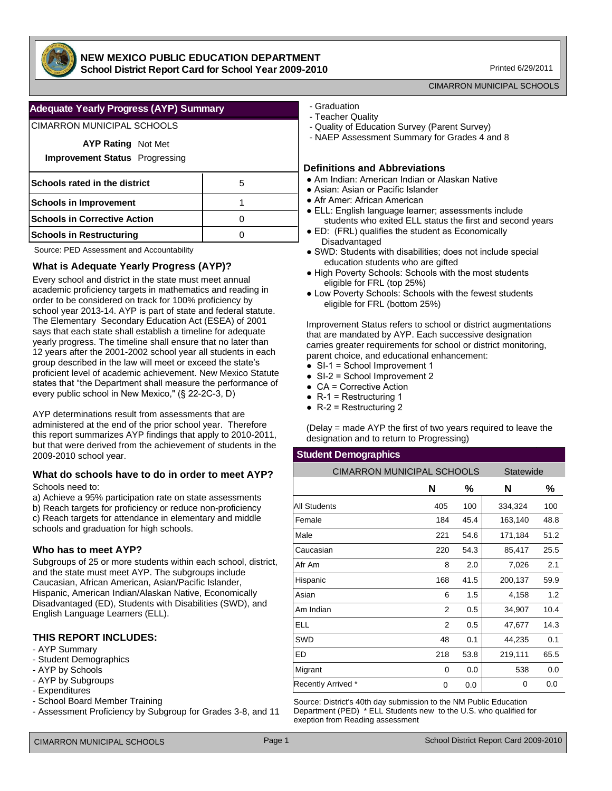

### **NEW MEXICO PUBLIC EDUCATION DEPARTMENT School District Report Card for School Year 2009-2010**

Printed 6/29/2011

#### CIMARRON MUNICIPAL SCHOOLS

## **Adequate Yearly Progress (AYP) Summary**

## CIMARRON MUNICIPAL SCHOOLS

| <b>AYP Rating Not Met</b><br><b>Improvement Status</b> Progressing |   |
|--------------------------------------------------------------------|---|
| Schools rated in the district                                      | 5 |
| <b>Schools in Improvement</b>                                      |   |
| <b>Schools in Corrective Action</b>                                |   |
| <b>Schools in Restructuring</b>                                    |   |

Source: PED Assessment and Accountability

## **What is Adequate Yearly Progress (AYP)?**

Every school and district in the state must meet annual academic proficiency targets in mathematics and reading in order to be considered on track for 100% proficiency by school year 2013-14. AYP is part of state and federal statute. The Elementary Secondary Education Act (ESEA) of 2001 says that each state shall establish a timeline for adequate yearly progress. The timeline shall ensure that no later than 12 years after the 2001-2002 school year all students in each group described in the law will meet or exceed the state's proficient level of academic achievement. New Mexico Statute states that "the Department shall measure the performance of every public school in New Mexico," (§ 22-2C-3, D)

AYP determinations result from assessments that are administered at the end of the prior school year. Therefore this report summarizes AYP findings that apply to 2010-2011, but that were derived from the achievement of students in the 2009-2010 school year.

#### **What do schools have to do in order to meet AYP?** Schools need to:

a) Achieve a 95% participation rate on state assessments b) Reach targets for proficiency or reduce non-proficiency c) Reach targets for attendance in elementary and middle schools and graduation for high schools.

## **Who has to meet AYP?**

Subgroups of 25 or more students within each school, district, and the state must meet AYP. The subgroups include Caucasian, African American, Asian/Pacific Islander, Hispanic, American Indian/Alaskan Native, Economically Disadvantaged (ED), Students with Disabilities (SWD), and English Language Learners (ELL).

# **THIS REPORT INCLUDES:**

- AYP Summary
- Student Demographics
- AYP by Schools
- AYP by Subgroups
- Expenditures
- School Board Member Training
- Assessment Proficiency by Subgroup for Grades 3-8, and 11
- Graduation
- Teacher Quality
- Quality of Education Survey (Parent Survey)
- NAEP Assessment Summary for Grades 4 and 8

#### **Definitions and Abbreviations**

- Am Indian: American Indian or Alaskan Native
- Asian: Asian or Pacific Islander
- Afr Amer: African American
- ELL: English language learner; assessments include students who exited ELL status the first and second years
- ED: (FRL) qualifies the student as Economically Disadvantaged
- SWD: Students with disabilities; does not include special education students who are gifted
- High Poverty Schools: Schools with the most students eligible for FRL (top 25%)
- Low Poverty Schools: Schools with the fewest students eligible for FRL (bottom 25%)

Improvement Status refers to school or district augmentations that are mandated by AYP. Each successive designation carries greater requirements for school or district monitoring, parent choice, and educational enhancement:

- SI-1 = School Improvement 1
- $\bullet$  SI-2 = School Improvement 2
- CA = Corrective Action
- $\bullet$  R-1 = Restructuring 1
- $\bullet$  R-2 = Restructuring 2

(Delay = made AYP the first of two years required to leave the designation and to return to Progressing)

#### **Student Demographics**

| <b>CIMARRON MUNICIPAL SCHOOLS</b> |          |      | Statewide |      |
|-----------------------------------|----------|------|-----------|------|
|                                   | N        | ℅    | N         | ℅    |
| <b>All Students</b>               | 405      | 100  | 334,324   | 100  |
| Female                            | 184      | 45.4 | 163,140   | 48.8 |
| Male                              | 221      | 54.6 | 171,184   | 51.2 |
| Caucasian                         | 220      | 54.3 | 85,417    | 25.5 |
| Afr Am                            | 8        | 2.0  | 7,026     | 2.1  |
| Hispanic                          | 168      | 41.5 | 200,137   | 59.9 |
| Asian                             | 6        | 1.5  | 4,158     | 1.2  |
| Am Indian                         | 2        | 0.5  | 34,907    | 10.4 |
| <b>ELL</b>                        | 2        | 0.5  | 47,677    | 14.3 |
| SWD                               | 48       | 0.1  | 44,235    | 0.1  |
| ED                                | 218      | 53.8 | 219,111   | 65.5 |
| Migrant                           | $\Omega$ | 0.0  | 538       | 0.0  |
| Recently Arrived *                | 0        | 0.0  | 0         | 0.0  |

Source: District's 40th day submission to the NM Public Education Department (PED) \* ELL Students new to the U.S. who qualified for exeption from Reading assessment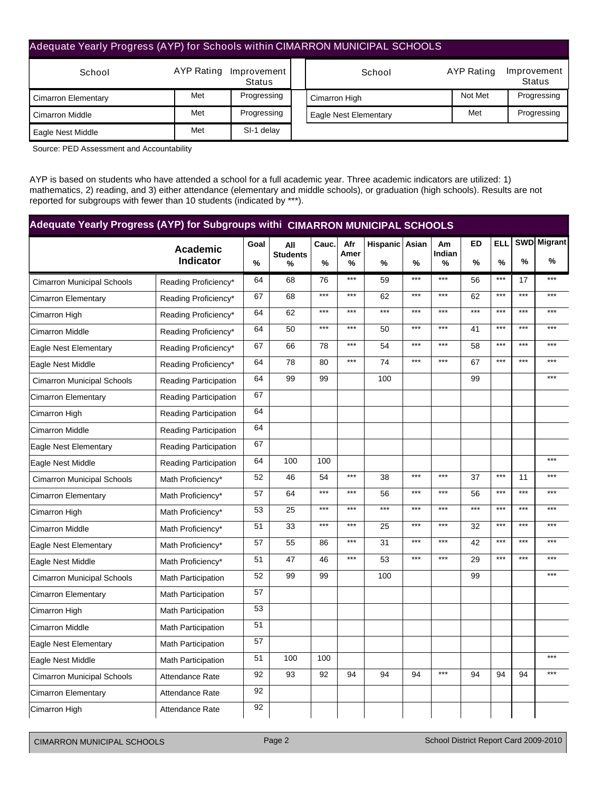# Adequate Yearly Progress (AYP) for Schools within CIMARRON MUNICIPAL SCHOOLS

| School                     |     | AYP Rating Improvement<br>Status | School                | AYP Rating | Improvement<br><b>Status</b> |
|----------------------------|-----|----------------------------------|-----------------------|------------|------------------------------|
| <b>Cimarron Elementary</b> | Met | Progressing                      | Cimarron High         | Not Met    | Progressing                  |
| <b>Cimarron Middle</b>     | Met | Progressing                      | Eagle Nest Elementary | Met        | Progressing                  |
| Eagle Nest Middle          | Met | SI-1 delay                       |                       |            |                              |

Source: PED Assessment and Accountability

AYP is based on students who have attended a school for a full academic year. Three academic indicators are utilized: 1) mathematics, 2) reading, and 3) either attendance (elementary and middle schools), or graduation (high schools). Results are not reported for subgroups with fewer than 10 students (indicated by \*\*\*).

| Adequate Yearly Progress (AYP) for Subgroups withi CIMARRON MUNICIPAL SCHOOLS |                                     |      |                        |       |             |                |       |              |                   |                 |               |                         |
|-------------------------------------------------------------------------------|-------------------------------------|------|------------------------|-------|-------------|----------------|-------|--------------|-------------------|-----------------|---------------|-------------------------|
|                                                                               | <b>Academic</b><br><b>Indicator</b> | Goal | All<br><b>Students</b> | Cauc. | Afr<br>Amer | Hispanic Asian |       | Am<br>Indian | <b>ED</b><br>$\%$ | <b>ELL</b><br>% | $\frac{0}{0}$ | <b>SWD</b> Migrant<br>% |
|                                                                               |                                     | %    | %                      | %     | %           | %              | %     | %            |                   |                 |               |                         |
| <b>Cimarron Municipal Schools</b>                                             | Reading Proficiency*                | 64   | 68                     | 76    | $***$       | 59             | $***$ | $***$        | 56                | $***$           | 17            | $***$                   |
| <b>Cimarron Elementary</b>                                                    | Reading Proficiency*                | 67   | 68                     | ***   | $***$       | 62             | $***$ | $***$        | 62                | $***$           | $***$         | $***$                   |
| Cimarron High                                                                 | Reading Proficiency*                | 64   | 62                     | $***$ | $***$       | $***$          | $***$ | $***$        | $***$             | $***$           | $***$         | $***$                   |
| <b>Cimarron Middle</b>                                                        | Reading Proficiency*                | 64   | 50                     | ***   | $***$       | 50             | $***$ | $***$        | 41                | $***$           | $***$         | $***$                   |
| Eagle Nest Elementary                                                         | Reading Proficiency*                | 67   | 66                     | 78    | $***$       | 54             | $***$ | $***$        | 58                | $***$           | $***$         | $***$                   |
| Eagle Nest Middle                                                             | Reading Proficiency*                | 64   | 78                     | 80    | $***$       | 74             | $***$ | $***$        | 67                | $***$           | $***$         | $***$                   |
| <b>Cimarron Municipal Schools</b>                                             | <b>Reading Participation</b>        | 64   | 99                     | 99    |             | 100            |       |              | 99                |                 |               | $***$                   |
| <b>Cimarron Elementary</b>                                                    | <b>Reading Participation</b>        | 67   |                        |       |             |                |       |              |                   |                 |               |                         |
| Cimarron High                                                                 | <b>Reading Participation</b>        | 64   |                        |       |             |                |       |              |                   |                 |               |                         |
| <b>Cimarron Middle</b>                                                        | <b>Reading Participation</b>        | 64   |                        |       |             |                |       |              |                   |                 |               |                         |
| Eagle Nest Elementary                                                         | <b>Reading Participation</b>        | 67   |                        |       |             |                |       |              |                   |                 |               |                         |
| Eagle Nest Middle                                                             | <b>Reading Participation</b>        | 64   | 100                    | 100   |             |                |       |              |                   |                 |               | $***$                   |
| <b>Cimarron Municipal Schools</b>                                             | Math Proficiency*                   | 52   | 46                     | 54    | $***$       | 38             | $***$ | $***$        | 37                | $***$           | 11            | $***$                   |
| <b>Cimarron Elementary</b>                                                    | Math Proficiency*                   | 57   | 64                     | ***   | $***$       | 56             | $***$ | $***$        | 56                | $***$           | $***$         | $***$                   |
| Cimarron High                                                                 | Math Proficiency*                   | 53   | 25                     | ***   | $***$       | $***$          | $***$ | $***$        | $***$             | $***$           | $***$         | $***$                   |
| <b>Cimarron Middle</b>                                                        | Math Proficiency*                   | 51   | 33                     | ***   | $***$       | 25             | $***$ | $***$        | 32                | $***$           | $***$         | $***$                   |
| Eagle Nest Elementary                                                         | Math Proficiency*                   | 57   | 55                     | 86    | $***$       | 31             | $***$ | $***$        | 42                | $***$           | $***$         | $***$                   |
| Eagle Nest Middle                                                             | Math Proficiency*                   | 51   | 47                     | 46    | $***$       | 53             | $***$ | $***$        | 29                | $***$           | $***$         | $***$                   |
| <b>Cimarron Municipal Schools</b>                                             | Math Participation                  | 52   | 99                     | 99    |             | 100            |       |              | 99                |                 |               | $***$                   |
| <b>Cimarron Elementary</b>                                                    | Math Participation                  | 57   |                        |       |             |                |       |              |                   |                 |               |                         |
| Cimarron High                                                                 | <b>Math Participation</b>           | 53   |                        |       |             |                |       |              |                   |                 |               |                         |
| <b>Cimarron Middle</b>                                                        | Math Participation                  | 51   |                        |       |             |                |       |              |                   |                 |               |                         |
| Eagle Nest Elementary                                                         | <b>Math Participation</b>           | 57   |                        |       |             |                |       |              |                   |                 |               |                         |
| Eagle Nest Middle                                                             | Math Participation                  | 51   | 100                    | 100   |             |                |       |              |                   |                 |               | $***$                   |
| <b>Cimarron Municipal Schools</b>                                             | Attendance Rate                     | 92   | 93                     | 92    | 94          | 94             | 94    | $***$        | 94                | 94              | 94            | $***$                   |
| Cimarron Elementary                                                           | <b>Attendance Rate</b>              | 92   |                        |       |             |                |       |              |                   |                 |               |                         |
| Cimarron High                                                                 | Attendance Rate                     | 92   |                        |       |             |                |       |              |                   |                 |               |                         |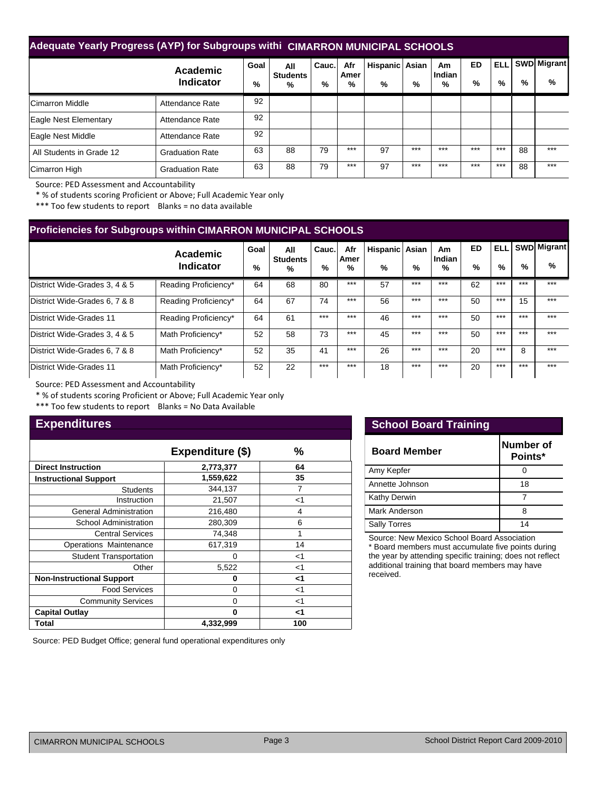# **Adequate Yearly Progress (AYP) for Subgroups withi CIMARRON MUNICIPAL SCHOOLS**

|                          | Academic<br><b>Indicator</b> | Goal<br>% | All<br><b>Students</b><br>% | Cauc.<br>% | Afr<br>Amer<br>% | Hispanic Asian<br>% | %     | Am<br>Indian<br>% | <b>ED</b><br>% | <b>ELL</b><br>% | %  | <b>SWD Migrant</b><br>% |
|--------------------------|------------------------------|-----------|-----------------------------|------------|------------------|---------------------|-------|-------------------|----------------|-----------------|----|-------------------------|
| <b>Cimarron Middle</b>   | Attendance Rate              | 92        |                             |            |                  |                     |       |                   |                |                 |    |                         |
| Eagle Nest Elementary    | Attendance Rate              | 92        |                             |            |                  |                     |       |                   |                |                 |    |                         |
| Eagle Nest Middle        | Attendance Rate              | 92        |                             |            |                  |                     |       |                   |                |                 |    |                         |
| All Students in Grade 12 | <b>Graduation Rate</b>       | 63        | 88                          | 79         | $***$            | 97                  | $***$ | $***$             | $***$          | $***$           | 88 | $***$                   |
| Cimarron High            | <b>Graduation Rate</b>       | 63        | 88                          | 79         | $***$            | 97                  | $***$ | $***$             | $***$          | $***$           | 88 | $***$                   |

Source: PED Assessment and Accountability

\* % of students scoring Proficient or Above; Full Academic Year only

\*\*\* Too few students to report Blanks = no data available

| <b>Proficiencies for Subgroups within CIMARRON MUNICIPAL SCHOOLS</b> |                       |              |                                         |            |                  |                     |       |                   |                |                    |       |                         |  |  |
|----------------------------------------------------------------------|-----------------------|--------------|-----------------------------------------|------------|------------------|---------------------|-------|-------------------|----------------|--------------------|-------|-------------------------|--|--|
|                                                                      | Academic<br>Indicator | Goal<br>$\%$ | All<br><b>Students</b><br>$\frac{9}{6}$ | Cauc.<br>% | Afr<br>Amer<br>% | Hispanic Asian<br>% | %     | Am<br>Indian<br>% | <b>ED</b><br>% | <b>ELL</b><br>$\%$ | $\%$  | <b>SWD</b> Migrant<br>% |  |  |
| District Wide-Grades 3, 4 & 5                                        | Reading Proficiency*  | 64           | 68                                      | 80         | $***$            | 57                  | $***$ | $***$             | 62             | $***$              | $***$ | $***$                   |  |  |
| District Wide-Grades 6, 7 & 8                                        | Reading Proficiency*  | 64           | 67                                      | 74         | $***$            | 56                  | $***$ | $***$             | 50             | $***$              | 15    | $***$                   |  |  |
| District Wide-Grades 11                                              | Reading Proficiency*  | 64           | 61                                      | $***$      | $***$            | 46                  | $***$ | $***$             | 50             | $***$              | $***$ | $***$                   |  |  |
| District Wide-Grades 3, 4 & 5                                        | Math Proficiency*     | 52           | 58                                      | 73         | $***$            | 45                  | $***$ | $***$             | 50             | $***$              | $***$ | $***$                   |  |  |
| District Wide-Grades 6, 7 & 8                                        | Math Proficiency*     | 52           | 35                                      | 41         | $***$            | 26                  | $***$ | $***$             | 20             | $***$              | 8     | $***$                   |  |  |
| District Wide-Grades 11                                              | Math Proficiency*     | 52           | 22                                      | $***$      | $***$            | 18                  | $***$ | $***$             | 20             | $***$              | $***$ | $***$                   |  |  |

Source: PED Assessment and Accountability

\* % of students scoring Proficient or Above; Full Academic Year only

\*\*\* Too few students to report Blanks = No Data Available

# **Expenditures**

|                                  | Expenditure (\$) | %     |
|----------------------------------|------------------|-------|
| <b>Direct Instruction</b>        | 2,773,377        | 64    |
| <b>Instructional Support</b>     | 1,559,622        | 35    |
| <b>Students</b>                  | 344,137          | 7     |
| Instruction                      | 21,507           | $<$ 1 |
| <b>General Administration</b>    | 216,480          | 4     |
| <b>School Administration</b>     | 280,309          | 6     |
| <b>Central Services</b>          | 74,348           |       |
| Operations Maintenance           | 617,319          | 14    |
| <b>Student Transportation</b>    | 0                | $<$ 1 |
| Other                            | 5,522            | $<$ 1 |
| <b>Non-Instructional Support</b> | 0                | ا>    |
| <b>Food Services</b>             | 0                | $<$ 1 |
| <b>Community Services</b>        | 0                | $<$ 1 |
| <b>Capital Outlay</b>            | ŋ                | <1    |
| Total                            | 4,332,999        | 100   |

## **School Board Training**

| <b>Board Member</b> | Number of<br>Points* |
|---------------------|----------------------|
| Amy Kepfer          |                      |
| Annette Johnson     | 18                   |
| <b>Kathy Derwin</b> |                      |
| Mark Anderson       |                      |
| <b>Sally Torres</b> | 14                   |

Source: New Mexico School Board Association

\* Board members must accumulate five points during the year by attending specific training; does not reflect additional training that board members may have received.

Source: PED Budget Office; general fund operational expenditures only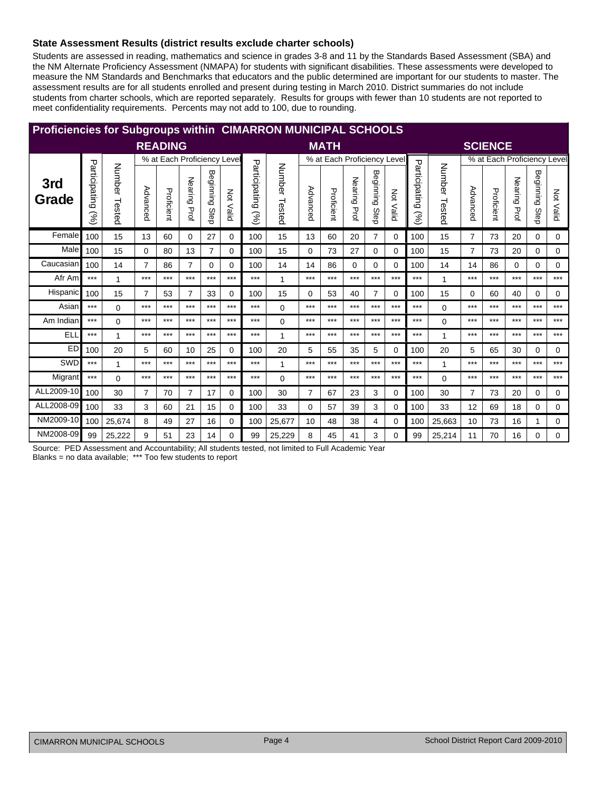## State Assessment Results (district results exclude charter schools)

Students are assessed in reading, mathematics and science in grades 3-8 and 11 by the Standards Based Assessment (SBA) and the NM Alternate Proficiency Assessment (NMAPA) for students with significant disabilities. These assessments were developed to measure the NM Standards and Benchmarks that educators and the public determined are important for our students to master. The assessment results are for all students enrolled and present during testing in March 2010. District summaries do not include students from charter schools, which are reported separately. Results for groups with fewer than 10 students are not reported to meet confidentiality requirements. Percents may not add to 100, due to rounding.

| <b>Proficiencies for Subgroups within CIMARRON MUNICIPAL SCHOOLS</b> |                                              |                  |                |                             |                 |                   |           |                                |                  |                |                             |              |                |                  |                                |                  |                |                |                 |                   |                             |
|----------------------------------------------------------------------|----------------------------------------------|------------------|----------------|-----------------------------|-----------------|-------------------|-----------|--------------------------------|------------------|----------------|-----------------------------|--------------|----------------|------------------|--------------------------------|------------------|----------------|----------------|-----------------|-------------------|-----------------------------|
|                                                                      |                                              |                  |                | <b>READING</b>              |                 |                   |           |                                |                  |                | <b>MATH</b>                 |              |                |                  |                                |                  |                | <b>SCIENCE</b> |                 |                   |                             |
|                                                                      |                                              |                  |                | % at Each Proficiency Level |                 |                   |           |                                |                  |                | % at Each Proficiency Level |              |                |                  |                                |                  |                |                |                 |                   | % at Each Proficiency Level |
| 3rd<br>Grade                                                         | Participating<br>$\mathcal{S}_{\mathcal{O}}$ | Number<br>Tested | Advanced       | Proficient                  | Nearing<br>Prof | Beginning<br>Step | Not Valid | Participating<br>$\mathcal{S}$ | Number<br>Tested | Advanced       | Proficient                  | Nearing Prof | Beginning Step | <b>Not Valid</b> | Participating<br>$\mathcal{S}$ | Number<br>Tested | Advanced       | Proficient     | Nearing<br>Prof | Beginning<br>Step | Not Valid                   |
| Female                                                               | 100                                          | 15               | 13             | 60                          | $\Omega$        | 27                | 0         | 100                            | 15               | 13             | 60                          | 20           | $\overline{7}$ | 0                | 100                            | 15               | $\overline{7}$ | 73             | 20              | 0                 | 0                           |
| Male                                                                 | 100                                          | 15               | $\Omega$       | 80                          | 13              | $\overline{7}$    | 0         | 100                            | 15               | 0              | 73                          | 27           | 0              | 0                | 100                            | 15               | $\overline{7}$ | 73             | 20              | 0                 | $\Omega$                    |
| Caucasian                                                            | 100                                          | 14               | $\overline{7}$ | 86                          | 7               | $\Omega$          | $\Omega$  | 100                            | 14               | 14             | 86                          | $\Omega$     | 0              | 0                | 100                            | 14               | 14             | 86             | 0               | 0                 | 0                           |
| Afr Am                                                               | $***$                                        | 1                | $***$          | $***$                       | $***$           | $***$             | $***$     | $***$                          | 1                | $***$          | ***                         | $***$        | $***$          | $***$            | $***$                          | $\overline{1}$   | ***            | $***$          | $***$           | $***$             | $***$                       |
| Hispanic                                                             | 100                                          | 15               | $\overline{7}$ | 53                          | 7               | 33                | 0         | 100                            | 15               | 0              | 53                          | 40           | $\overline{7}$ | 0                | 100                            | 15               | 0              | 60             | 40              | 0                 | 0                           |
| Asian                                                                | $***$                                        | $\Omega$         | $***$          | $***$                       | $***$           | $***$             | $***$     | $***$                          | $\Omega$         | $***$          | ***                         | $***$        | $***$          | $***$            | $***$                          | $\Omega$         | ***            | $***$          | $***$           | $***$             | $***$                       |
| Am Indian                                                            | $***$                                        | $\Omega$         | $***$          | $***$                       | $***$           | $***$             | $***$     | $***$                          | $\Omega$         | $***$          | $***$                       | $***$        | $***$          | $***$            | $***$                          | $\Omega$         | ***            | ***            | $***$           | $***$             | $***$                       |
| ELL                                                                  | $***$                                        | 1                | $***$          | $***$                       | $***$           | $***$             | $***$     | $***$                          | 1                | $***$          | $***$                       | $***$        | $***$          | $***$            | $***$                          | 1                | $***$          | ***            | $***$           | $***$             | $***$                       |
| <b>ED</b>                                                            | 100                                          | 20               | 5              | 60                          | 10              | 25                | 0         | 100                            | 20               | 5              | 55                          | 35           | 5              | 0                | 100                            | 20               | 5              | 65             | 30              | 0                 | 0                           |
| SWD                                                                  | $***$                                        | 1                | $***$          | $***$                       | $***$           | $***$             | $***$     | $***$                          | 1                | $***$          | ***                         | $***$        | $***$          | $***$            | $***$                          | 1                | ***            | ***            | $***$           | $***$             | $***$                       |
| Migrant                                                              | $***$                                        | $\Omega$         | $***$          | $***$                       | $***$           | $***$             | $***$     | $***$                          | 0                | $***$          | $***$                       | $***$        | $***$          | $***$            | $***$                          | $\Omega$         | ***            | ***            | $***$           | ***               | $***$                       |
| ALL2009-10                                                           | 100                                          | 30               | $\overline{7}$ | 70                          | $\overline{7}$  | 17                | 0         | 100                            | 30               | $\overline{7}$ | 67                          | 23           | 3              | 0                | 100                            | 30               | $\overline{7}$ | 73             | 20              | 0                 | 0                           |
| ALL2008-09                                                           | 100                                          | 33               | 3              | 60                          | 21              | 15                | 0         | 100                            | 33               | 0              | 57                          | 39           | 3              | 0                | 100                            | 33               | 12             | 69             | 18              | 0                 | 0                           |
| NM2009-10                                                            | 100                                          | 25,674           | 8              | 49                          | 27              | 16                | 0         | 100                            | 25,677           | 10             | 48                          | 38           | 4              | 0                | 100                            | 25,663           | 10             | 73             | 16              | 1                 | 0                           |
| NM2008-09                                                            | 99                                           | 25,222           | 9              | 51                          | 23              | 14                | 0         | 99                             | 25,229           | 8              | 45                          | 41           | 3              | 0                | 99                             | 25,214           | 11             | 70             | 16              | 0                 | $\Omega$                    |

Source: PED Assessment and Accountability; All students tested, not limited to Full Academic Year

Blanks = no data available; \*\*\* Too few students to report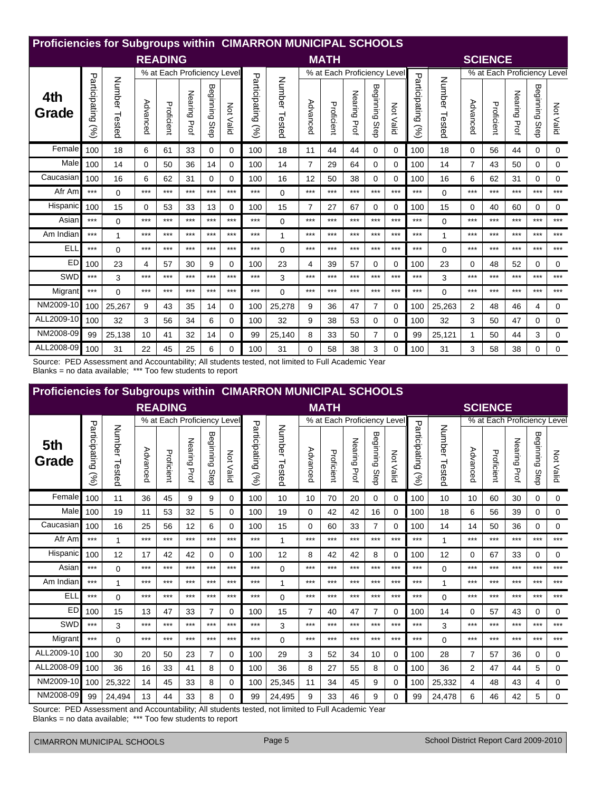|              | Proficiencies for Subgroups within CIMARRON MUNICIPAL SCHOOLS |                  |          |                             |              |                   |           |                                              |                  |                |                             |                 |                   |             |                       |                  |          |                             |                 |                   |           |
|--------------|---------------------------------------------------------------|------------------|----------|-----------------------------|--------------|-------------------|-----------|----------------------------------------------|------------------|----------------|-----------------------------|-----------------|-------------------|-------------|-----------------------|------------------|----------|-----------------------------|-----------------|-------------------|-----------|
|              |                                                               |                  |          | <b>READING</b>              |              |                   |           |                                              |                  |                | <b>MATH</b>                 |                 |                   |             |                       |                  |          | <b>SCIENCE</b>              |                 |                   |           |
|              |                                                               |                  |          | % at Each Proficiency Level |              |                   |           |                                              |                  |                | % at Each Proficiency Level |                 |                   |             |                       |                  |          | % at Each Proficiency Level |                 |                   |           |
| 4th<br>Grade | Participating<br>Sol                                          | Number<br>Tested | Advanced | Proficient                  | Nearing Prof | Beginning<br>Step | Not Valid | Participating<br>$\mathcal{S}_{\mathcal{O}}$ | Number<br>Tested | Advanced       | Proficient                  | Nearing<br>Prof | Beginning<br>Step | Νď<br>Valid | Participating<br>(96) | Number<br>Tested | Advanced | Proficient                  | Nearing<br>Prof | Beginning<br>Step | Not Valid |
| Female       | 100                                                           | 18               | 6        | 61                          | 33           | 0                 | $\Omega$  | 100                                          | 18               | 11             | 44                          | 44              | 0                 | 0           | 100                   | 18               | 0        | 56                          | 44              | 0                 | 0         |
| Male         | 100                                                           | 14               | $\Omega$ | 50                          | 36           | 14                | $\Omega$  | 100                                          | 14               | 7              | 29                          | 64              | $\Omega$          | $\Omega$    | 100                   | 14               | 7        | 43                          | 50              | 0                 | 0         |
| Caucasian    | 100                                                           | 16               | 6        | 62                          | 31           | $\Omega$          | $\Omega$  | 100                                          | 16               | 12             | 50                          | 38              | $\Omega$          | $\Omega$    | 100                   | 16               | 6        | 62                          | 31              | 0                 | 0         |
| Afr Am       | $***$                                                         | 0                | $***$    | $***$                       | $***$        | $***$             | $***$     | $***$                                        | $\Omega$         | $***$          | $***$                       | $***$           | $***$             | $***$       | $***$                 | 0                | ***      | ***                         | $***$           | ***               | $***$     |
| Hispanic     | 100                                                           | 15               | 0        | 53                          | 33           | 13                | $\Omega$  | 100                                          | 15               | $\overline{7}$ | 27                          | 67              | $\Omega$          | 0           | 100                   | 15               | 0        | 40                          | 60              | 0                 | 0         |
| Asian        | $***$                                                         | $\Omega$         | $***$    | $***$                       | $***$        | $***$             | $***$     | $***$                                        | $\Omega$         | ***            | ***                         | $***$           | $***$             | $***$       | $***$                 | $\Omega$         | ***      | ***                         | $***$           | ***               | $***$     |
| Am Indian    | $***$                                                         | 1                | $***$    | $***$                       | $***$        | $***$             | $***$     | $***$                                        | 1                | $***$          | $***$                       | $***$           | $***$             | $***$       | $***$                 | 1                | ***      | ***                         | $***$           | $***$             | $***$     |
| ELI          | $***$                                                         | $\Omega$         | $***$    | $***$                       | $***$        | $***$             | $***$     | $***$                                        | $\Omega$         | $***$          | $***$                       | $***$           | $***$             | $***$       | $***$                 | $\Omega$         | $***$    | ***                         | $***$           | $***$             | $***$     |
| ED           | 100                                                           | 23               | 4        | 57                          | 30           | 9                 | $\Omega$  | 100                                          | 23               | 4              | 39                          | 57              | 0                 | 0           | 100                   | 23               | 0        | 48                          | 52              | 0                 | 0         |
| SWD          | $***$                                                         | 3                | $***$    | $***$                       | $***$        | $***$             | $***$     | $***$                                        | 3                | $***$          | ***                         | $***$           | $***$             | $***$       | $***$                 | 3                | $***$    | ***                         | $***$           | ***               | $***$     |
| Migrant      | $***$                                                         | $\Omega$         | $***$    | $***$                       | $***$        | $***$             | $***$     | $***$                                        | $\Omega$         | $***$          | ***                         | $***$           | $***$             | $***$       | $***$                 | $\Omega$         | $***$    | ***                         | $***$           | ***               | $***$     |
| NM2009-10    | 100                                                           | 25,267           | 9        | 43                          | 35           | 14                | $\Omega$  | 100                                          | 25,278           | 9              | 36                          | 47              | $\overline{7}$    | 0           | 100                   | 25,263           | 2        | 48                          | 46              | 4                 | 0         |
| ALL2009-10   | 100                                                           | 32               | 3        | 56                          | 34           | 6                 | 0         | 100                                          | 32               | 9              | 38                          | 53              | 0                 | 0           | 100                   | 32               | 3        | 50                          | 47              | 0                 | 0         |
| NM2008-09    | 99                                                            | 25,138           | 10       | 41                          | 32           | 14                | $\Omega$  | 99                                           | 25,140           | 8              | 33                          | 50              | $\overline{7}$    | $\Omega$    | 99                    | 25,121           | 1        | 50                          | 44              | 3                 | 0         |
| ALL2008-09   | 100                                                           | 31               | 22       | 45                          | 25           | 6                 | $\Omega$  | 100                                          | 31               | 0              | 58                          | 38              | 3                 | $\Omega$    | 100                   | 31               | 3        | 58                          | 38              | 0                 | 0         |

Source: PED Assessment and Accountability; All students tested, not limited to Full Academic Year Blanks = no data available; \*\*\* Too few students to report

| <b>Proficiencies for Subgroups within CIMARRON MUNICIPAL SCHOOLS</b> |                      |                  |          |                             |                 |                   |                  |                       |                  |                |                             |              |                |                  |                      |                  |          |                             |              |                |             |
|----------------------------------------------------------------------|----------------------|------------------|----------|-----------------------------|-----------------|-------------------|------------------|-----------------------|------------------|----------------|-----------------------------|--------------|----------------|------------------|----------------------|------------------|----------|-----------------------------|--------------|----------------|-------------|
|                                                                      |                      |                  |          | <b>READING</b>              |                 |                   |                  |                       |                  |                | <b>MATH</b>                 |              |                |                  |                      |                  |          | <b>SCIENCE</b>              |              |                |             |
|                                                                      |                      |                  |          | % at Each Proficiency Level |                 |                   |                  |                       |                  |                | % at Each Proficiency Level |              |                |                  |                      |                  |          | % at Each Proficiency Level |              |                |             |
| 5th<br>Grade                                                         | Participating<br>(%) | Number<br>Tested | Advanced | Proficient                  | Nearing<br>Prof | Beginning<br>Step | <b>Not Valid</b> | Participating<br>(96) | Number<br>Tested | Advanced       | Proficient                  | Nearing Prof | Beginning Step | <b>Not Valid</b> | Participating<br>(%) | Number<br>Tested | Advanced | Proficient                  | Nearing Prof | Beginning Step | Not Valid   |
| Female                                                               | 100                  | 11               | 36       | 45                          | 9               | 9                 | 0                | 100                   | 10               | 10             | 70                          | 20           | 0              | 0                | 100                  | 10               | 10       | 60                          | 30           | 0              | $\mathbf 0$ |
| Male                                                                 | 100                  | 19               | 11       | 53                          | 32              | 5                 | 0                | 100                   | 19               | 0              | 42                          | 42           | 16             | 0                | 100                  | 18               | 6        | 56                          | 39           | 0              | 0           |
| Caucasian                                                            | 100                  | 16               | 25       | 56                          | 12              | 6                 | 0                | 100                   | 15               | 0              | 60                          | 33           | $\overline{7}$ | 0                | 100                  | 14               | 14       | 50                          | 36           | 0              | 0           |
| Afr Am                                                               | $***$                | 1                | $***$    | $***$                       | $***$           | $***$             | $***$            | $***$                 | 1                | $***$          | $***$                       | $***$        | $***$          | $***$            | $***$                | 1                | ***      | $***$                       | $***$        | $***$          | $***$       |
| Hispanic                                                             | 100                  | 12               | 17       | 42                          | 42              | $\Omega$          | 0                | 100                   | 12               | 8              | 42                          | 42           | 8              | 0                | 100                  | 12               | 0        | 67                          | 33           | 0              | 0           |
| Asian                                                                | $***$                | $\Omega$         | $***$    | $***$                       | $***$           | $***$             | $***$            | $***$                 | $\Omega$         | $***$          | $***$                       | $***$        | $***$          | $***$            | $***$                | $\Omega$         | ***      | $***$                       | $***$        | $***$          | $***$       |
| Am Indian                                                            | $***$                | 1                | $***$    | $***$                       | $***$           | $***$             | $***$            | $***$                 | 1                | $***$          | $***$                       | $***$        | $***$          | $***$            | $***$                | 1                | ***      | ***                         | $***$        | $***$          | $***$       |
| <b>ELL</b>                                                           | $***$                | $\Omega$         | $***$    | $***$                       | $***$           | $***$             | $***$            | $***$                 | 0                | ***            | ***                         | ***          | $***$          | $***$            | ***                  | $\Omega$         | $***$    | ***                         | $***$        | $***$          | $***$       |
| ED <sup>I</sup>                                                      | 100                  | 15               | 13       | 47                          | 33              | $\overline{7}$    | 0                | 100                   | 15               | $\overline{7}$ | 40                          | 47           | $\overline{7}$ | 0                | 100                  | 14               | 0        | 57                          | 43           | 0              | $\Omega$    |
| SWD                                                                  | $***$                | 3                | $***$    | $***$                       | $***$           | $***$             | $***$            | $***$                 | 3                | $***$          | $***$                       | $***$        | $***$          | $***$            | ***                  | 3                | ***      | ***                         | $***$        | ***            | $***$       |
| Migrant                                                              | $***$                | $\Omega$         | $***$    | $***$                       | $***$           | $***$             | $***$            | ***                   | 0                | $***$          | $***$                       | $***$        | $***$          | $***$            | $***$                | $\Omega$         | $***$    | ***                         | $***$        | $***$          | $***$       |
| ALL2009-10                                                           | 100                  | 30               | 20       | 50                          | 23              | 7                 | 0                | 100                   | 29               | 3              | 52                          | 34           | 10             | 0                | 100                  | 28               | 7        | 57                          | 36           | 0              | 0           |
| ALL2008-09                                                           | 100                  | 36               | 16       | 33                          | 41              | 8                 | 0                | 100                   | 36               | 8              | 27                          | 55           | 8              | 0                | 100                  | 36               | 2        | 47                          | 44           | 5              | $\mathbf 0$ |
| NM2009-10                                                            | 100                  | 25,322           | 14       | 45                          | 33              | 8                 | 0                | 100                   | 25,345           | 11             | 34                          | 45           | 9              | 0                | 100                  | 25,332           | 4        | 48                          | 43           | 4              | 0           |
| NM2008-09                                                            | 99                   | 24,494           | 13       | 44                          | 33              | 8                 | 0                | 99                    | 24,495           | 9              | 33                          | 46           | 9              | 0                | 99                   | 24,478           | 6        | 46                          | 42           | 5              | $\Omega$    |

Source: PED Assessment and Accountability; All students tested, not limited to Full Academic Year Blanks = no data available; \*\*\* Too few students to report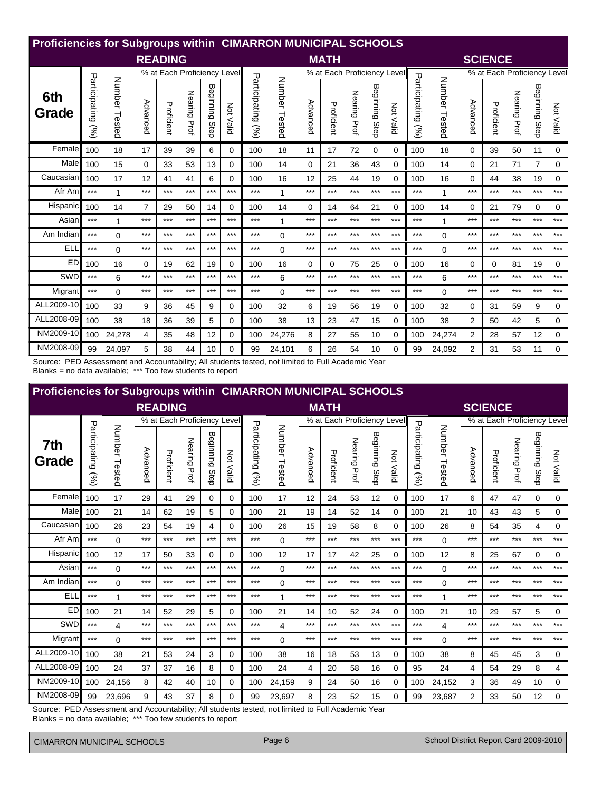|              | Proficiencies for Subgroups within CIMARRON MUNICIPAL SCHOOLS |                  |                |                             |                 |                   |           |                                |                  |          |                             |                 |                   |              |                       |               |                |                             |                 |                   |             |
|--------------|---------------------------------------------------------------|------------------|----------------|-----------------------------|-----------------|-------------------|-----------|--------------------------------|------------------|----------|-----------------------------|-----------------|-------------------|--------------|-----------------------|---------------|----------------|-----------------------------|-----------------|-------------------|-------------|
|              |                                                               |                  |                | <b>READING</b>              |                 |                   |           |                                |                  |          | <b>MATH</b>                 |                 |                   |              |                       |               |                | <b>SCIENCE</b>              |                 |                   |             |
|              |                                                               |                  |                | % at Each Proficiency Level |                 |                   |           |                                |                  |          | % at Each Proficiency Level |                 |                   |              |                       |               |                | % at Each Proficiency Level |                 |                   |             |
| 6th<br>Grade | Participating<br>Sol                                          | Number<br>Tested | Advanced       | Proficient                  | Nearing<br>Prof | Beginning<br>Step | Not Valid | Participating<br>$\mathcal{S}$ | Number<br>Tested | Advanced | Proficient                  | Nearing<br>Prof | Beginning<br>Step | Νot<br>Valid | Participating<br>(96) | Number Tested | Advanced       | Proficient                  | Nearing<br>Prof | Beginning<br>Step | Not Valid   |
| Female       | 100                                                           | 18               | 17             | 39                          | 39              | 6                 | $\Omega$  | 100                            | 18               | 11       | 17                          | 72              | 0                 | 0            | 100                   | 18            | $\Omega$       | 39                          | 50              | 11                | 0           |
| Male         | 100                                                           | 15               | 0              | 33                          | 53              | 13                | $\Omega$  | 100                            | 14               | $\Omega$ | 21                          | 36              | 43                | 0            | 100                   | 14            | 0              | 21                          | 71              | 7                 | 0           |
| Caucasian    | 100                                                           | 17               | 12             | 41                          | 41              | 6                 | $\Omega$  | 100                            | 16               | 12       | 25                          | 44              | 19                | 0            | 100                   | 16            | $\Omega$       | 44                          | 38              | 19                | $\mathbf 0$ |
| Afr Am       | $***$                                                         | $\mathbf{1}$     | ***            | $***$                       | $***$           | $***$             | $***$     | $***$                          | $\mathbf{1}$     | $***$    | $***$                       | $***$           | ***               | $***$        | $***$                 | 1             | $***$          | $***$                       | ***             | $***$             | $***$       |
| Hispanic     | 100                                                           | 14               | $\overline{7}$ | 29                          | 50              | 14                | $\Omega$  | 100                            | 14               | $\Omega$ | 14                          | 64              | 21                | 0            | 100                   | 14            | 0              | 21                          | 79              | 0                 | 0           |
| Asian        | $***$                                                         | 1                | ***            | $***$                       | $***$           | $***$             | $***$     | $***$                          | $\mathbf{1}$     | ***      | ***                         | $***$           | ***               | $***$        | $***$                 | $\mathbf{1}$  | $***$          | $***$                       | ***             | $***$             | $***$       |
| Am Indian    | $***$                                                         | $\Omega$         | ***            | $***$                       | $***$           | $***$             | $***$     | $***$                          | $\Omega$         | $***$    | $***$                       | $***$           | $***$             | $***$        | ***                   | $\Omega$      | $***$          | $***$                       | $***$           | $***$             | $***$       |
| ELI          | $***$                                                         | $\Omega$         | ***            | $***$                       | $***$           | $***$             | $***$     | $***$                          | $\Omega$         | $***$    | $***$                       | $***$           | ***               | $***$        | ***                   | $\Omega$      | $***$          | $***$                       | ***             | $***$             | $***$       |
| ED           | 100                                                           | 16               | 0              | 19                          | 62              | 19                | $\Omega$  | 100                            | 16               | 0        | 0                           | 75              | 25                | 0            | 100                   | 16            | 0              | $\Omega$                    | 81              | 19                | 0           |
| SWD          | $***$                                                         | 6                | $***$          | $***$                       | $***$           | $***$             | $***$     | $***$                          | 6                | ***      | $***$                       | $***$           | ***               | $***$        | $***$                 | 6             | $***$          | $***$                       | $***$           | $***$             | $***$       |
| Migrant      | $***$                                                         | $\Omega$         | ***            | $***$                       | $***$           | $***$             | $***$     | $***$                          | $\Omega$         | $***$    | $***$                       | $***$           | ***               | $***$        | ***                   | $\Omega$      | $***$          | $***$                       | ***             | $***$             | $***$       |
| ALL2009-10   | 100                                                           | 33               | 9              | 36                          | 45              | 9                 | $\Omega$  | 100                            | 32               | 6        | 19                          | 56              | 19                | 0            | 100                   | 32            | $\Omega$       | 31                          | 59              | 9                 | 0           |
| ALL2008-09   | 100                                                           | 38               | 18             | 36                          | 39              | 5                 | 0         | 100                            | 38               | 13       | 23                          | 47              | 15                | 0            | 100                   | 38            | 2              | 50                          | 42              | 5                 | 0           |
| NM2009-10    | 100                                                           | 24,278           | 4              | 35                          | 48              | 12                | $\Omega$  | 100                            | 24,276           | 8        | 27                          | 55              | 10                | 0            | 100                   | 24,274        | $\overline{2}$ | 28                          | 57              | 12                | 0           |
| NM2008-09    | 99                                                            | 24.097           | 5              | 38                          | 44              | 10                | $\Omega$  | 99                             | 24,101           | 6        | 26                          | 54              | 10                | 0            | 99                    | 24.092        | $\overline{2}$ | 31                          | 53              | 11                | 0           |

Source: PED Assessment and Accountability; All students tested, not limited to Full Academic Year Blanks = no data available; \*\*\* Too few students to report

| <b>Proficiencies for Subgroups within CIMARRON MUNICIPAL SCHOOLS</b> |                      |                  |          |                             |                 |                   |                  |                       |                  |          |                             |              |                |                  |                      |                  |          |                             |              |                   |             |
|----------------------------------------------------------------------|----------------------|------------------|----------|-----------------------------|-----------------|-------------------|------------------|-----------------------|------------------|----------|-----------------------------|--------------|----------------|------------------|----------------------|------------------|----------|-----------------------------|--------------|-------------------|-------------|
|                                                                      |                      |                  |          | <b>READING</b>              |                 |                   |                  |                       |                  |          | <b>MATH</b>                 |              |                |                  |                      |                  |          | <b>SCIENCE</b>              |              |                   |             |
|                                                                      |                      |                  |          | % at Each Proficiency Level |                 |                   |                  |                       |                  |          | % at Each Proficiency Level |              |                |                  |                      |                  |          | % at Each Proficiency Level |              |                   |             |
| 7th<br>Grade                                                         | Participating<br>(%) | Number<br>Tested | Advanced | Proficient                  | Nearing<br>Prof | Beginning<br>Step | <b>Not Valid</b> | Participating<br>(96) | Number<br>Tested | Advanced | Proficient                  | Nearing Prof | Beginning Step | <b>Not Valid</b> | Participating<br>(%) | Number<br>Tested | Advanced | Proficient                  | Nearing Prof | Beginning<br>Step | Not Valid   |
| Female                                                               | 100                  | 17               | 29       | 41                          | 29              | 0                 | 0                | 100                   | 17               | 12       | 24                          | 53           | 12             | 0                | 100                  | 17               | 6        | 47                          | 47           | 0                 | $\mathbf 0$ |
| Male                                                                 | 100                  | 21               | 14       | 62                          | 19              | 5                 | 0                | 100                   | 21               | 19       | 14                          | 52           | 14             | 0                | 100                  | 21               | 10       | 43                          | 43           | 5                 | 0           |
| Caucasian                                                            | 100                  | 26               | 23       | 54                          | 19              | 4                 | 0                | 100                   | 26               | 15       | 19                          | 58           | 8              | 0                | 100                  | 26               | 8        | 54                          | 35           | 4                 | 0           |
| Afr Am                                                               | $***$                | $\mathbf 0$      | $***$    | $***$                       | $***$           | $***$             | $***$            | $***$                 | $\Omega$         | $***$    | $***$                       | $***$        | $***$          | $***$            | $***$                | $\Omega$         | ***      | ***                         | $***$        | $***$             | $***$       |
| Hispanic                                                             | 100                  | 12               | 17       | 50                          | 33              | $\Omega$          | 0                | 100                   | 12               | 17       | 17                          | 42           | 25             | 0                | 100                  | 12               | 8        | 25                          | 67           | 0                 | 0           |
| Asian                                                                | $***$                | $\Omega$         | $***$    | $***$                       | $***$           | $***$             | $***$            | $***$                 | $\Omega$         | $***$    | $***$                       | $***$        | $***$          | $***$            | $***$                | $\Omega$         | ***      | $***$                       | $***$        | $***$             | $***$       |
| Am Indian                                                            | $***$                | 0                | $***$    | $***$                       | $***$           | $***$             | $***$            | $***$                 | $\Omega$         | $***$    | $***$                       | $***$        | $***$          | $***$            | $***$                | $\Omega$         | ***      | ***                         | $***$        | $***$             | $***$       |
| <b>ELL</b>                                                           | $***$                | 1                | $***$    | $***$                       | $***$           | $***$             | $***$            | $***$                 | 1                | ***      | ***                         | ***          | $***$          | $***$            | $***$                | 1                | ***      | ***                         | $***$        | $***$             | $***$       |
| <b>ED</b>                                                            | 100                  | 21               | 14       | 52                          | 29              | 5                 | 0                | 100                   | 21               | 14       | 10                          | 52           | 24             | 0                | 100                  | 21               | 10       | 29                          | 57           | 5                 | $\Omega$    |
| SWD                                                                  | $***$                | 4                | $***$    | $***$                       | $***$           | ***               | $***$            | $***$                 | 4                | $***$    | $***$                       | $***$        | $***$          | $***$            | $***$                | 4                | ***      | ***                         | $***$        | ***               | $***$       |
| Migrant                                                              | $***$                | $\Omega$         | $***$    | $***$                       | $***$           | $***$             | $***$            | ***                   | 0                | $***$    | $***$                       | $***$        | $***$          | $***$            | $***$                | $\Omega$         | $***$    | ***                         | $***$        | $***$             | $***$       |
| ALL2009-10                                                           | 100                  | 38               | 21       | 53                          | 24              | 3                 | 0                | 100                   | 38               | 16       | 18                          | 53           | 13             | 0                | 100                  | 38               | 8        | 45                          | 45           | 3                 | 0           |
| ALL2008-09                                                           | 100                  | 24               | 37       | 37                          | 16              | 8                 | 0                | 100                   | 24               | 4        | 20                          | 58           | 16             | 0                | 95                   | 24               | 4        | 54                          | 29           | 8                 | 4           |
| NM2009-10                                                            | 100                  | 24,156           | 8        | 42                          | 40              | 10                | 0                | 100                   | 24,159           | 9        | 24                          | 50           | 16             | 0                | 100                  | 24,152           | 3        | 36                          | 49           | 10                | 0           |
| NM2008-09                                                            | 99                   | 23,696           | 9        | 43                          | 37              | 8                 | 0                | 99                    | 23,697           | 8        | 23                          | 52           | 15             | 0                | 99                   | 23.687           | 2        | 33                          | 50           | 12                | $\Omega$    |

Source: PED Assessment and Accountability; All students tested, not limited to Full Academic Year Blanks = no data available; \*\*\* Too few students to report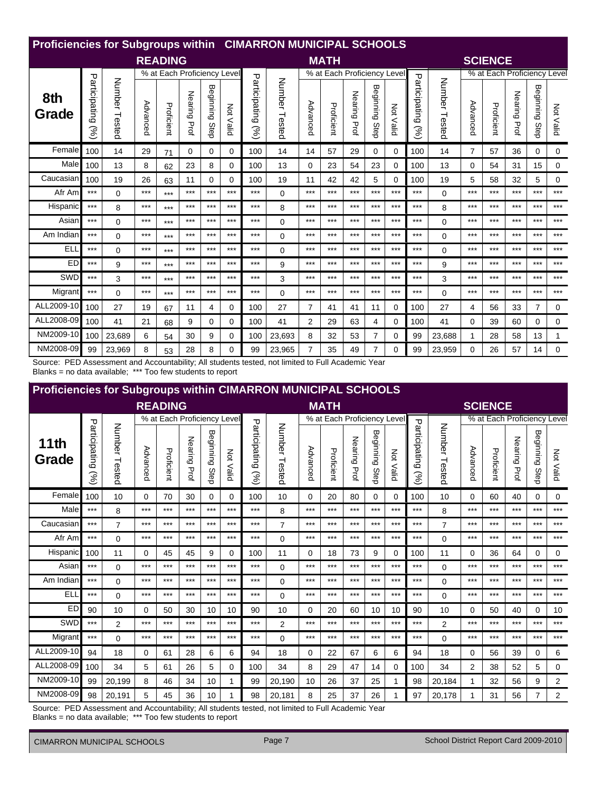| <b>Proficiencies for Subgroups within CIMARRON MUNICIPAL SCHOOLS</b> |                                |                  |          |                             |              |                   |                  |                                |                         |                |                             |                        |                   |           |                      |               |                |                             |                 |                          |           |
|----------------------------------------------------------------------|--------------------------------|------------------|----------|-----------------------------|--------------|-------------------|------------------|--------------------------------|-------------------------|----------------|-----------------------------|------------------------|-------------------|-----------|----------------------|---------------|----------------|-----------------------------|-----------------|--------------------------|-----------|
|                                                                      |                                |                  |          | <b>READING</b>              |              |                   |                  |                                |                         |                | <b>MATH</b>                 |                        |                   |           |                      |               |                | <b>SCIENCE</b>              |                 |                          |           |
|                                                                      |                                |                  |          | % at Each Proficiency Level |              |                   |                  |                                |                         |                | % at Each Proficiency Level |                        |                   |           |                      |               |                | % at Each Proficiency Level |                 |                          |           |
| 8th<br>Grade                                                         | Participating<br>$\mathcal{S}$ | Number<br>Tested | Advanced | Proficient                  | Nearing Prof | Beginning<br>Step | <b>Not Valid</b> | Participating<br>$\mathcal{S}$ | <b>Number</b><br>Tested | Advanced       | Proficient                  | Nearing<br><b>Prof</b> | Beginning<br>Step | Not Valid | Participating<br>(%) | Number Tested | Advanced       | Proficient                  | Nearing<br>Prof | <b>Beginning</b><br>Step | Not Valid |
| Female                                                               | 100                            | 14               | 29       | 71                          | 0            | 0                 | $\Omega$         | 100                            | 14                      | 14             | 57                          | 29                     | 0                 | 0         | 100                  | 14            | $\overline{7}$ | 57                          | 36              | 0                        | 0         |
| Male                                                                 | 100                            | 13               | 8        | 62                          | 23           | 8                 | 0                | 100                            | 13                      | 0              | 23                          | 54                     | 23                | 0         | 100                  | 13            | 0              | 54                          | 31              | 15                       | 0         |
| Caucasian                                                            | 100                            | 19               | 26       | 63                          | 11           | 0                 | $\Omega$         | 100                            | 19                      | 11             | 42                          | 42                     | 5                 | 0         | 100                  | 19            | 5              | 58                          | 32              | 5                        | 0         |
| Afr Am                                                               | $***$                          | $\Omega$         | ***      | $***$                       | $***$        | $***$             | $***$            | $***$                          | $\Omega$                | ***            | ***                         | $***$                  | $***$             | $***$     | $***$                | $\Omega$      | $***$          | $***$                       | ***             | $***$                    | $***$     |
| Hispanic                                                             | $***$                          | 8                | ***      | $***$                       | $***$        | $***$             | $***$            | $***$                          | 8                       | ***            | $***$                       | $***$                  | ***               | $***$     | $***$                | 8             | $***$          | $***$                       | ***             | $***$                    | $***$     |
| Asian                                                                | $***$                          | $\Omega$         | ***      | $***$                       | $***$        | $***$             | $***$            | $***$                          | $\Omega$                | ***            | ***                         | $***$                  | ***               | $***$     | $***$                | $\mathbf 0$   | $***$          | $***$                       | ***             | $***$                    | $***$     |
| Am Indian                                                            | $***$                          | $\Omega$         | ***      | $***$                       | $***$        | $***$             | $***$            | $***$                          | $\Omega$                | ***            | ***                         | $***$                  | $***$             | $***$     | $***$                | $\Omega$      | $***$          | $***$                       | ***             | $***$                    | $***$     |
| ELI                                                                  | $***$                          | $\Omega$         | $***$    | $***$                       | $***$        | $***$             | $***$            | $***$                          | $\Omega$                | $***$          | $***$                       | $***$                  | $***$             | $***$     | $***$                | $\Omega$      | $***$          | $***$                       | ***             | $***$                    | $***$     |
| ED                                                                   | $***$                          | 9                | ***      | $***$                       | $***$        | $***$             | $***$            | $***$                          | 9                       | $***$          | ***                         | $***$                  | ***               | $***$     | $***$                | 9             | $***$          | $***$                       | ***             | $***$                    | $***$     |
| SWD                                                                  | $***$                          | 3                | ***      | $***$                       | $***$        | $***$             | $***$            | $***$                          | 3                       | $***$          | $***$                       | $***$                  | $***$             | $***$     | $***$                | 3             | $***$          | $***$                       | $***$           | $***$                    | $***$     |
| Migrant                                                              | $***$                          | 0                | $***$    | $***$                       | $***$        | $***$             | $***$            | $***$                          | $\Omega$                | $***$          | $***$                       | $***$                  | ***               | $***$     | $***$                | $\Omega$      | $***$          | $***$                       | ***             | $***$                    | $***$     |
| ALL2009-10                                                           | 100                            | 27               | 19       | 67                          | 11           | 4                 | $\Omega$         | 100                            | 27                      | $\overline{7}$ | 41                          | 41                     | 11                | 0         | 100                  | 27            | 4              | 56                          | 33              | $\overline{7}$           | 0         |
| ALL2008-09                                                           | 100                            | 41               | 21       | 68                          | 9            | 0                 | $\Omega$         | 100                            | 41                      | 2              | 29                          | 63                     | 4                 | 0         | 100                  | 41            | 0              | 39                          | 60              | 0                        | 0         |
| NM2009-10                                                            | 100                            | 23,689           | 6        | 54                          | 30           | 9                 | $\Omega$         | 100                            | 23,693                  | 8              | 32                          | 53                     | $\overline{7}$    | 0         | 99                   | 23,688        | 1              | 28                          | 58              | 13                       | 1         |
| NM2008-09                                                            | 99                             | 23,969           | 8        | 53                          | 28           | 8                 | $\Omega$         | 99                             | 23,965                  | $\overline{7}$ | 35                          | 49                     | $\overline{7}$    | 0         | 99                   | 23,959        | $\Omega$       | 26                          | 57              | 14                       | 0         |

Source: PED Assessment and Accountability; All students tested, not limited to Full Academic Year<br>Blanks = no data available; \*\*\* Too few students to report

| <b>Proficiencies for Subgroups within CIMARRON MUNICIPAL SCHOOLS</b> |                      |                  |          |                             |              |                   |                  |                       |                  |          |                             |                           |                   |           |                      |                  |                |                             |              |                   |                |
|----------------------------------------------------------------------|----------------------|------------------|----------|-----------------------------|--------------|-------------------|------------------|-----------------------|------------------|----------|-----------------------------|---------------------------|-------------------|-----------|----------------------|------------------|----------------|-----------------------------|--------------|-------------------|----------------|
|                                                                      |                      |                  |          | <b>READING</b>              |              |                   |                  |                       |                  |          | <b>MATH</b>                 |                           |                   |           |                      |                  |                | <b>SCIENCE</b>              |              |                   |                |
|                                                                      |                      |                  |          | % at Each Proficiency Level |              |                   |                  |                       |                  |          | % at Each Proficiency Level |                           |                   |           |                      |                  |                | % at Each Proficiency Level |              |                   |                |
| 11 <sup>th</sup><br>Grade                                            | Participating<br>(%) | Number<br>Tested | Advanced | Proficient                  | Nearing Prof | Beginning<br>Step | <b>Not Valid</b> | Participating<br>(96) | Number<br>Tested | Advanced | Proficient                  | Nearing<br>$\overline{P}$ | Beginning<br>Step | Not Valid | Participating<br>(%) | Number<br>Tested | Advanced       | Proficient                  | Nearing Prof | Beginning<br>Step | Not Valid      |
| Female                                                               | 100                  | 10               | $\Omega$ | 70                          | 30           | $\mathbf{0}$      | 0                | 100                   | 10               | $\Omega$ | 20                          | 80                        | 0                 | 0         | 100                  | 10               | $\Omega$       | 60                          | 40           | 0                 | $\Omega$       |
| Male                                                                 | $***$                | 8                | $***$    | $***$                       | $***$        | $***$             | $***$            | $***$                 | 8                | $***$    | $***$                       | $***$                     | $***$             | $***$     | $***$                | 8                | $***$          | $***$                       | $***$        | $***$             | $***$          |
| Caucasian                                                            | $***$                | $\overline{7}$   | $***$    | $***$                       | $***$        | $***$             | $***$            | $***$                 | $\overline{7}$   | $***$    | $***$                       | $***$                     | $***$             | $***$     | $***$                | $\overline{7}$   | ***            | $***$                       | $***$        | $***$             | $***$          |
| Afr Am                                                               | $***$                | $\Omega$         | $***$    | $***$                       | $***$        | $***$             | $***$            | $***$                 | 0                | $***$    | ***                         | $***$                     | $***$             | $***$     | ***                  | $\Omega$         | ***            | ***                         | $***$        | $***$             | $***$          |
| Hispanic                                                             | 100                  | 11               | $\Omega$ | 45                          | 45           | 9                 | $\Omega$         | 100                   | 11               | $\Omega$ | 18                          | 73                        | 9                 | 0         | 100                  | 11               | $\Omega$       | 36                          | 64           | 0                 | 0              |
| Asian                                                                | $***$                | $\mathbf 0$      | $***$    | $***$                       | $***$        | $***$             | $***$            | $***$                 | 0                | $***$    | $***$                       | $***$                     | $***$             | $***$     | ***                  | $\Omega$         | ***            | $***$                       | $***$        | $***$             | $***$          |
| Am Indian                                                            | $***$                | $\Omega$         | $***$    | $***$                       | $***$        | $***$             | $***$            | $***$                 | 0                | $***$    | ***                         | $***$                     | $***$             | $***$     | $***$                | $\Omega$         | ***            | $***$                       | $***$        | $***$             | ***            |
| <b>ELL</b>                                                           | $***$                | $\mathbf 0$      | $***$    | $***$                       | $***$        | $***$             | $***$            | $***$                 | $\Omega$         | $***$    | ***                         | $***$                     | $***$             | $***$     | $***$                | $\Omega$         | ***            | ***                         | $***$        | $***$             | $***$          |
| <b>ED</b>                                                            | 90                   | 10               | $\Omega$ | 50                          | 30           | 10                | 10               | 90                    | 10               | 0        | 20                          | 60                        | 10                | 10        | 90                   | 10               | 0              | 50                          | 40           | $\Omega$          | 10             |
| SWD                                                                  | $***$                | $\overline{2}$   | $***$    | $***$                       | $***$        | $***$             | $***$            | $***$                 | $\overline{2}$   | ***      | $***$                       | ***                       | $***$             | $***$     | $***$                | $\overline{2}$   | $***$          | ***                         | $***$        | $***$             | $***$          |
| Migrant                                                              | $***$                | $\Omega$         | $***$    | $***$                       | $***$        | $***$             | $***$            | ***                   | $\Omega$         | $***$    | ***                         | $***$                     | $***$             | $***$     | $***$                | $\Omega$         | ***            | ***                         | $***$        | $***$             | $***$          |
| ALL2009-10                                                           | 94                   | 18               | $\Omega$ | 61                          | 28           | 6                 | 6                | 94                    | 18               | 0        | 22                          | 67                        | 6                 | 6         | 94                   | 18               | 0              | 56                          | 39           | 0                 | 6              |
| ALL2008-09                                                           | 100                  | 34               | 5        | 61                          | 26           | 5                 | 0                | 100                   | 34               | 8        | 29                          | 47                        | 14                | 0         | 100                  | 34               | $\overline{2}$ | 38                          | 52           | 5                 | $\mathbf 0$    |
| NM2009-10                                                            | 99                   | 20,199           | 8        | 46                          | 34           | 10                | 1                | 99                    | 20,190           | 10       | 26                          | 37                        | 25                |           | 98                   | 20,184           |                | 32                          | 56           | 9                 | $\overline{2}$ |
| NM2008-09                                                            | 98                   | 20,191           | 5        | 45                          | 36           | 10                | 1                | 98                    | 20,181           | 8        | 25                          | 37                        | 26                |           | 97                   | 20,178           |                | 31                          | 56           | $\overline{7}$    | 2              |

Source: PED Assessment and Accountability; All students tested, not limited to Full Academic Year Blanks = no data available; \*\*\* Too few students to report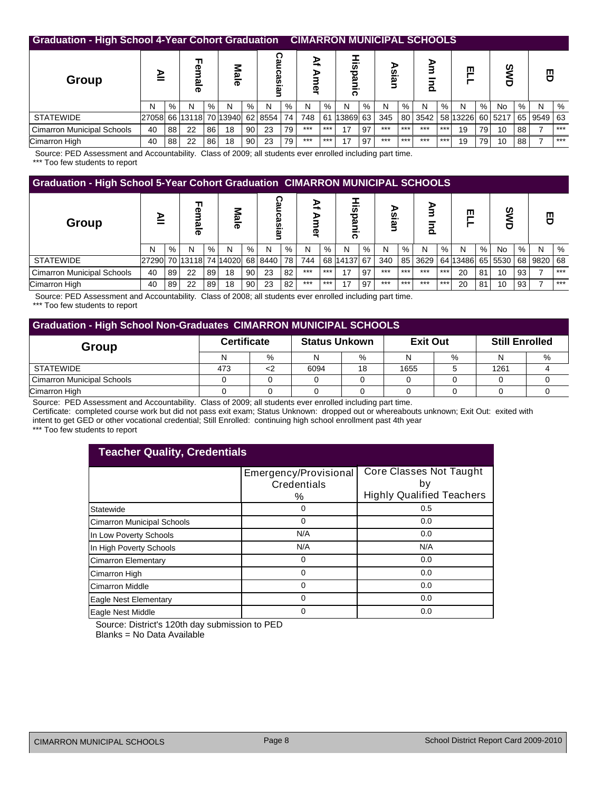| <b>Graduation - High School 4-Year Cohort Graduation</b> |       |    |                  |      |                  |                 |                     |    |             |       | <b>CIMARRON MUNICIPAL SCHOOLS</b> |      |           |       |               |       |          |    |         |    |      |           |
|----------------------------------------------------------|-------|----|------------------|------|------------------|-----------------|---------------------|----|-------------|-------|-----------------------------------|------|-----------|-------|---------------|-------|----------|----|---------|----|------|-----------|
| <b>Group</b>                                             | ⋗     |    | Ţ<br>መ<br>ω<br>ᢛ |      | Male             |                 | ച<br><u>وہ</u><br>ݠ |    | ⊵<br>ъ<br>ō |       | ਹ<br>ი                            |      | ⋗<br>sial |       | Š<br>$\Omega$ |       | ш        |    | SW<br>σ |    | 핑    |           |
|                                                          | N     | %  | N                | $\%$ | N                | $\%$            | N                   | %  | N           | $\%$  | N                                 | $\%$ | N         | %     | N             | %     | N        | %  | No      | %  | N    | %         |
| <b>STATEWIDE</b>                                         | 27058 |    | 66 13118         |      | 70 13940 62 8554 |                 |                     | 74 | 748         | 61    | 13869                             | 63   | 345       | 80 l  | 3542          |       | 58 13226 |    | 60 5217 | 65 | 9549 | <b>63</b> |
| <b>Cimarron Municipal Schools</b>                        | 40    | 88 | 22               | 86   | 18               | 90 <sub>1</sub> | 23                  | 79 | $***$       | $***$ | 17                                | 97   | $***$     | $***$ | $***$         | $***$ | 19       | 79 | 10      | 88 |      | $***$     |
| Cimarron High                                            | 40    | 88 | 22               | 86   | 18               | 90              | 23                  | 79 | $***$       | $***$ | 17                                | 97   | $***$     | $***$ | $***$         | $***$ | 19       | 79 | 10      | 88 |      | $***$     |
| --- -                                                    |       |    | .                | --   |                  |                 |                     |    |             |       |                                   |      |           |       |               |       |          |    |         |    |      |           |

 Source: PED Assessment and Accountability. Class of 2009; all students ever enrolled including part time. \*\*\* Too few students to report

|                                   | <b>Graduation - High School 5-Year Cohort Graduation CIMARRON MUNICIPAL SCHOOLS</b> |      |                  |    |                  |      |                     |      |             |       |              |      |       |       |               |       |          |      |          |      |      |       |
|-----------------------------------|-------------------------------------------------------------------------------------|------|------------------|----|------------------|------|---------------------|------|-------------|-------|--------------|------|-------|-------|---------------|-------|----------|------|----------|------|------|-------|
| Group                             | ⋗                                                                                   |      | ╖<br>ወ<br>ಪ<br>ᢛ |    | <b>Nal</b><br>᠊ᢛ |      | ဥ္<br><b>casiar</b> |      | ₹<br>⋗<br>Φ |       | --<br>ठ<br>७ |      | sial  |       | ⊵<br>$\Omega$ |       | ш        |      | ပ္စ<br>σ |      | 핑    |       |
|                                   | N                                                                                   | $\%$ | N                | %  | N                | $\%$ | N                   | $\%$ | N           | $\%$  | N            | $\%$ | N     | $\%$  | N             | $\%$  | N        | $\%$ | No       | $\%$ | N    | %     |
| <b>STATEWIDE</b>                  | 27290 70 13118                                                                      |      |                  |    | 74 14020         | 68   | 8440                | 78   | 744         | 68    | 14137        | 67   | 340   | 85    | 3629          |       | 64 13486 | 65   | 5530     | 68   | 9820 | 68    |
| <b>Cimarron Municipal Schools</b> | 40                                                                                  | 89   | 22               | 89 | 18               | 90   | 23                  | 82   | $***$       | $***$ | 17           | 97   | $***$ | $***$ | $***$         | $***$ | 20       | 81   | 10       | 93   |      | $***$ |
| Cimarron High                     | 40                                                                                  | 89   | 22               | 89 | 18               | 90   | 23                  | 82   | $***$       | $***$ | 17           | 97   | $***$ | $***$ | $***$         | $***$ | 20       | 81   | 10       | 93   |      | $***$ |

Source: PED Assessment and Accountability. Class of 2008; all students ever enrolled including part time.

\*\*\* Too few students to report

|                            | <b>Graduation - High School Non-Graduates CIMARRON MUNICIPAL SCHOOLS</b> |   |                      |    |                 |      |                       |   |  |  |  |  |  |  |  |
|----------------------------|--------------------------------------------------------------------------|---|----------------------|----|-----------------|------|-----------------------|---|--|--|--|--|--|--|--|
| Group                      | <b>Certificate</b>                                                       |   | <b>Status Unkown</b> |    | <b>Exit Out</b> |      | <b>Still Enrolled</b> |   |  |  |  |  |  |  |  |
|                            |                                                                          | % |                      | %  |                 | $\%$ |                       | % |  |  |  |  |  |  |  |
| STATEWIDE                  | 473                                                                      |   | 6094                 | 18 | 1655            |      | 1261                  |   |  |  |  |  |  |  |  |
| Cimarron Municipal Schools |                                                                          |   |                      |    |                 |      |                       |   |  |  |  |  |  |  |  |
| Cimarron High              |                                                                          |   |                      |    |                 |      |                       |   |  |  |  |  |  |  |  |

Source: PED Assessment and Accountability. Class of 2009; all students ever enrolled including part time.

Certificate: completed course work but did not pass exit exam; Status Unknown: dropped out or whereabouts unknown; Exit Out: exited with intent to get GED or other vocational credential; Still Enrolled: continuing high school enrollment past 4th year

|  |  |  | *** Too few students to report |  |  |  |
|--|--|--|--------------------------------|--|--|--|
|--|--|--|--------------------------------|--|--|--|

| <b>Teacher Quality, Credentials</b> |                       |                                  |
|-------------------------------------|-----------------------|----------------------------------|
|                                     | Emergency/Provisional | Core Classes Not Taught          |
|                                     | Credentials           | b٧                               |
|                                     | %                     | <b>Highly Qualified Teachers</b> |
| Statewide                           | ი                     | 0.5                              |
| Cimarron Municipal Schools          | ი                     | 0.0                              |
| In Low Poverty Schools              | N/A                   | 0.0                              |
| In High Poverty Schools             | N/A                   | N/A                              |
| <b>Cimarron Elementary</b>          | ი                     | 0.0                              |
| Cimarron High                       | ი                     | 0.0                              |
| Cimarron Middle                     | 0                     | 0.0                              |
| Eagle Nest Elementary               | ი                     | 0.0                              |
| Eagle Nest Middle                   | 0                     | 0.0                              |

Source: District's 120th day submission to PED Blanks = No Data Available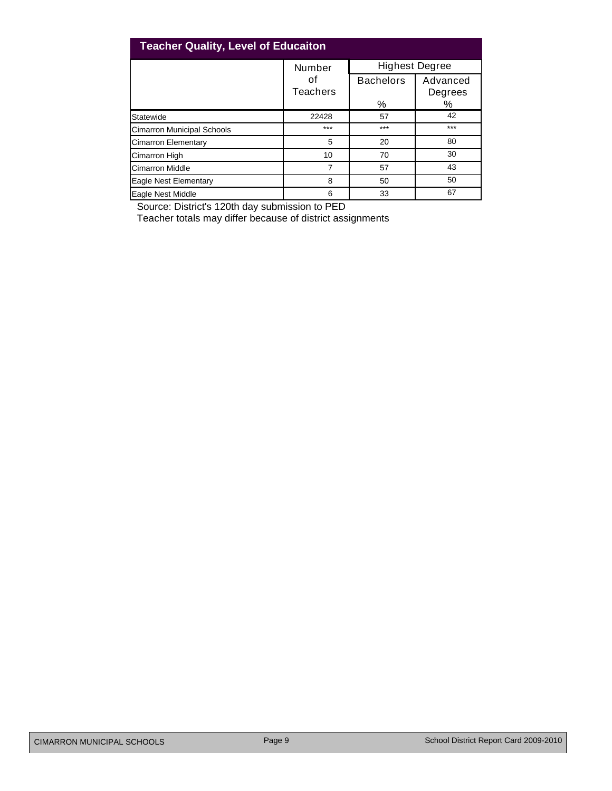| <b>Teacher Quality, Level of Educaiton</b> |                |                       |                          |
|--------------------------------------------|----------------|-----------------------|--------------------------|
|                                            | <b>Number</b>  | <b>Highest Degree</b> |                          |
|                                            | οt<br>Teachers | <b>Bachelors</b><br>% | Advanced<br>Degrees<br>% |
| Statewide                                  | 22428          | 57                    | 42                       |
| <b>Cimarron Municipal Schools</b>          | $***$          | $***$                 | $***$                    |
| <b>Cimarron Elementary</b>                 | 5              | 20                    | 80                       |
| <b>Cimarron High</b>                       | 10             | 70                    | 30                       |
| <b>Cimarron Middle</b>                     | $\overline{7}$ | 57                    | 43                       |
| Eagle Nest Elementary                      | 8              | 50                    | 50                       |
| Eagle Nest Middle                          | 6              | 33                    | 67                       |

Source: District's 120th day submission to PED

Teacher totals may differ because of district assignments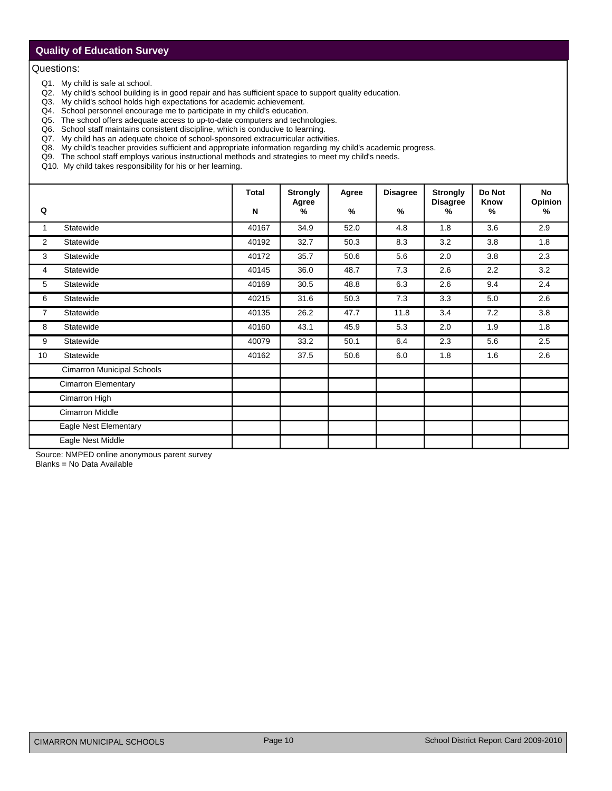## **Quality of Education Survey**

#### Questions:

- Q1. My child is safe at school.
- Q2. My child's school building is in good repair and has sufficient space to support quality education.
- Q3. My child's school holds high expectations for academic achievement.
- Q4. School personnel encourage me to participate in my child's education.
- Q5. The school offers adequate access to up-to-date computers and technologies.
- Q6. School staff maintains consistent discipline, which is conducive to learning.
- Q7. My child has an adequate choice of school-sponsored extracurricular activities.
- Q8. My child's teacher provides sufficient and appropriate information regarding my child's academic progress.
- Q9. The school staff employs various instructional methods and strategies to meet my child's needs.
- Q10. My child takes responsibility for his or her learning.

|                |                                   | <b>Total</b> | <b>Strongly</b>        | Agree | <b>Disagree</b> | <b>Strongly</b>         | Do Not       | <b>No</b>                |
|----------------|-----------------------------------|--------------|------------------------|-------|-----------------|-------------------------|--------------|--------------------------|
| Q              |                                   | ${\sf N}$    | Agree<br>$\frac{9}{6}$ | $\%$  | $\%$            | <b>Disagree</b><br>$\%$ | Know<br>$\%$ | Opinion<br>$\frac{9}{6}$ |
| 1              | Statewide                         | 40167        | 34.9                   | 52.0  | 4.8             | 1.8                     | 3.6          | 2.9                      |
| 2              | Statewide                         | 40192        | 32.7                   | 50.3  | 8.3             | 3.2                     | 3.8          | 1.8                      |
| 3              | Statewide                         | 40172        | 35.7                   | 50.6  | 5.6             | 2.0                     | 3.8          | 2.3                      |
| 4              | Statewide                         | 40145        | 36.0                   | 48.7  | 7.3             | 2.6                     | 2.2          | 3.2                      |
| 5              | Statewide                         | 40169        | 30.5                   | 48.8  | 6.3             | 2.6                     | 9.4          | 2.4                      |
| 6              | Statewide                         | 40215        | 31.6                   | 50.3  | 7.3             | 3.3                     | 5.0          | 2.6                      |
| $\overline{7}$ | Statewide                         | 40135        | 26.2                   | 47.7  | 11.8            | 3.4                     | 7.2          | 3.8                      |
| 8              | Statewide                         | 40160        | 43.1                   | 45.9  | 5.3             | 2.0                     | 1.9          | 1.8                      |
| 9              | Statewide                         | 40079        | 33.2                   | 50.1  | 6.4             | 2.3                     | 5.6          | 2.5                      |
| 10             | Statewide                         | 40162        | 37.5                   | 50.6  | 6.0             | 1.8                     | 1.6          | 2.6                      |
|                | <b>Cimarron Municipal Schools</b> |              |                        |       |                 |                         |              |                          |
|                | <b>Cimarron Elementary</b>        |              |                        |       |                 |                         |              |                          |
|                | Cimarron High                     |              |                        |       |                 |                         |              |                          |
|                | <b>Cimarron Middle</b>            |              |                        |       |                 |                         |              |                          |
|                | Eagle Nest Elementary             |              |                        |       |                 |                         |              |                          |
|                | Eagle Nest Middle                 |              |                        |       |                 |                         |              |                          |

Source: NMPED online anonymous parent survey

Blanks = No Data Available